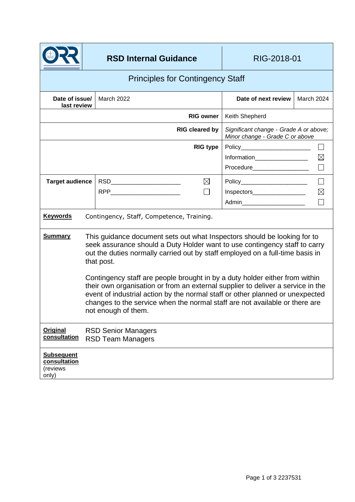

| <b>Principles for Contingency Staff</b>                |                                                                                                                                                                                                                                                                                                                                                                                                                                                                                                                                                                                                                |                                           |                  |                                                                           |             |
|--------------------------------------------------------|----------------------------------------------------------------------------------------------------------------------------------------------------------------------------------------------------------------------------------------------------------------------------------------------------------------------------------------------------------------------------------------------------------------------------------------------------------------------------------------------------------------------------------------------------------------------------------------------------------------|-------------------------------------------|------------------|---------------------------------------------------------------------------|-------------|
| Date of issue/<br>last review                          |                                                                                                                                                                                                                                                                                                                                                                                                                                                                                                                                                                                                                | March 2022                                |                  | Date of next review                                                       | March 2024  |
|                                                        |                                                                                                                                                                                                                                                                                                                                                                                                                                                                                                                                                                                                                |                                           | <b>RIG owner</b> | Keith Shepherd                                                            |             |
| <b>RIG cleared by</b>                                  |                                                                                                                                                                                                                                                                                                                                                                                                                                                                                                                                                                                                                |                                           |                  | Significant change - Grade A or above;<br>Minor change - Grade C or above |             |
|                                                        |                                                                                                                                                                                                                                                                                                                                                                                                                                                                                                                                                                                                                |                                           | <b>RIG type</b>  | Policy___________________________                                         |             |
|                                                        |                                                                                                                                                                                                                                                                                                                                                                                                                                                                                                                                                                                                                |                                           |                  | Information                                                               | $\boxtimes$ |
|                                                        |                                                                                                                                                                                                                                                                                                                                                                                                                                                                                                                                                                                                                |                                           |                  | Procedure____________________                                             |             |
| <b>Target audience</b>                                 |                                                                                                                                                                                                                                                                                                                                                                                                                                                                                                                                                                                                                |                                           | $\boxtimes$      | Policy_________________________                                           | $\Box$      |
|                                                        |                                                                                                                                                                                                                                                                                                                                                                                                                                                                                                                                                                                                                |                                           | I.               | Inspectors___________________                                             | $\boxtimes$ |
|                                                        |                                                                                                                                                                                                                                                                                                                                                                                                                                                                                                                                                                                                                |                                           |                  | Admin________________________                                             |             |
| <b>Keywords</b>                                        |                                                                                                                                                                                                                                                                                                                                                                                                                                                                                                                                                                                                                | Contingency, Staff, Competence, Training. |                  |                                                                           |             |
| <b>Summary</b>                                         | This guidance document sets out what Inspectors should be looking for to<br>seek assurance should a Duty Holder want to use contingency staff to carry<br>out the duties normally carried out by staff employed on a full-time basis in<br>that post.<br>Contingency staff are people brought in by a duty holder either from within<br>their own organisation or from an external supplier to deliver a service in the<br>event of industrial action by the normal staff or other planned or unexpected<br>changes to the service when the normal staff are not available or there are<br>not enough of them. |                                           |                  |                                                                           |             |
| <b>Original</b><br>consultation                        | <b>RSD Senior Managers</b><br><b>RSD Team Managers</b>                                                                                                                                                                                                                                                                                                                                                                                                                                                                                                                                                         |                                           |                  |                                                                           |             |
| <b>Subsequent</b><br>consultation<br>(reviews<br>only) |                                                                                                                                                                                                                                                                                                                                                                                                                                                                                                                                                                                                                |                                           |                  |                                                                           |             |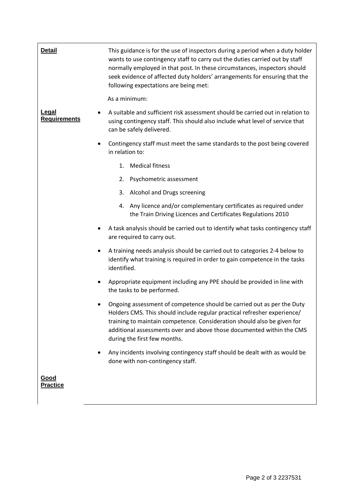| <b>Detail</b>                | This guidance is for the use of inspectors during a period when a duty holder<br>wants to use contingency staff to carry out the duties carried out by staff<br>normally employed in that post. In these circumstances, inspectors should<br>seek evidence of affected duty holders' arrangements for ensuring that the<br>following expectations are being met: |  |
|------------------------------|------------------------------------------------------------------------------------------------------------------------------------------------------------------------------------------------------------------------------------------------------------------------------------------------------------------------------------------------------------------|--|
|                              | As a minimum:                                                                                                                                                                                                                                                                                                                                                    |  |
| Legal<br><b>Requirements</b> | A suitable and sufficient risk assessment should be carried out in relation to<br>using contingency staff. This should also include what level of service that<br>can be safely delivered.                                                                                                                                                                       |  |
|                              | Contingency staff must meet the same standards to the post being covered<br>in relation to:                                                                                                                                                                                                                                                                      |  |
|                              | <b>Medical fitness</b><br>1.                                                                                                                                                                                                                                                                                                                                     |  |
|                              | Psychometric assessment<br>2.                                                                                                                                                                                                                                                                                                                                    |  |
|                              | 3. Alcohol and Drugs screening                                                                                                                                                                                                                                                                                                                                   |  |
|                              | 4. Any licence and/or complementary certificates as required under<br>the Train Driving Licences and Certificates Regulations 2010                                                                                                                                                                                                                               |  |
|                              | A task analysis should be carried out to identify what tasks contingency staff<br>are required to carry out.                                                                                                                                                                                                                                                     |  |
|                              | A training needs analysis should be carried out to categories 2-4 below to<br>identify what training is required in order to gain competence in the tasks<br>identified.                                                                                                                                                                                         |  |
| $\bullet$                    | Appropriate equipment including any PPE should be provided in line with<br>the tasks to be performed.                                                                                                                                                                                                                                                            |  |
|                              | Ongoing assessment of competence should be carried out as per the Duty<br>Holders CMS. This should include regular practical refresher experience/<br>training to maintain competence. Consideration should also be given for<br>additional assessments over and above those documented within the CMS<br>during the first few months.                           |  |
|                              | Any incidents involving contingency staff should be dealt with as would be<br>done with non-contingency staff.                                                                                                                                                                                                                                                   |  |
| Good<br><b>Practice</b>      |                                                                                                                                                                                                                                                                                                                                                                  |  |